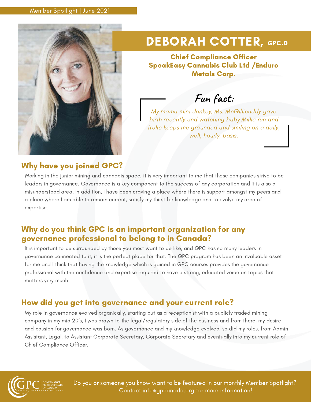

# DEBORAH COTTER, GPC.D

Chief Compliance Officer SpeakEasy Cannabis Club Ltd /Enduro Metals Corp.

**Fun fact:**

My mama mini donkey, Ms. McGillicuddy gave birth recently and watching baby Millie run and frolic keeps me grounded and smiling on a daily, well, hourly, basis.

# Why have you joined GPC?

Working in the junior mining and cannabis space, it is very important to me that these companies strive to be leaders in governance. Governance is a key component to the success of any corporation and it is also a misunderstood area. In addition, I have been craving a place where there is support amongst my peers and a place where I am able to remain current, satisfy my thirst for knowledge and to evolve my area of expertise.

## Why do you think GPC is an important organization for any governance professional to belong to in Canada?

It is important to be surrounded by those you most want to be like, and GPC has so many leaders in governance connected to it, it is the perfect place for that. The GPC program has been an invaluable asset for me and I think that having the knowledge which is gained in GPC courses provides the governance professional with the confidence and expertise required to have a strong, educated voice on topics that matters very much.

# How did you get into governance and your current role?

My role in governance evolved organically, starting out as a receptionist with a publicly traded mining company in my mid 20's, I was drawn to the legal/regulatory side of the business and from there, my desire and passion for governance was born. As governance and my knowledge evolved, so did my roles, from Admin Assistant, Legal, to Assistant Corporate Secretary, Corporate Secretary and eventually into my current role of Chief Compliance Officer.



Do you or someone you know want to be featured in our monthly Member Spotlight? Contact info@gpcanada.org for more information!